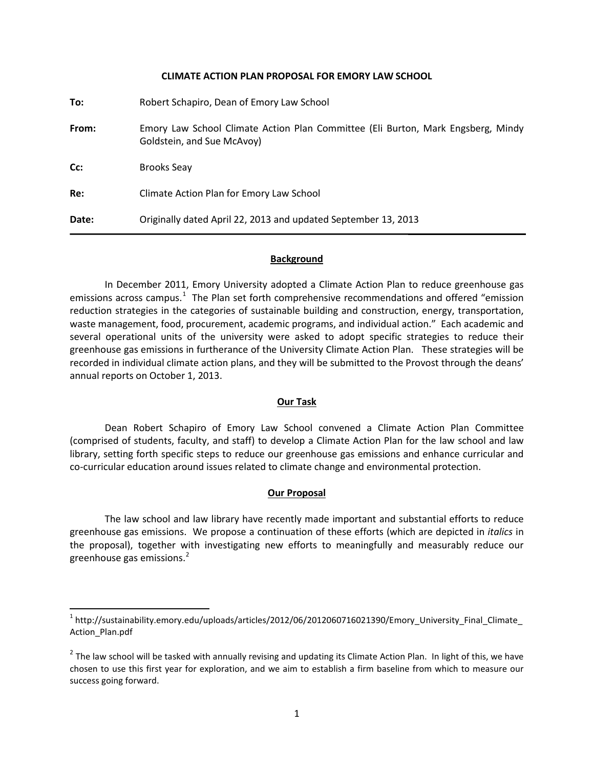#### **CLIMATE ACTION PLAN PROPOSAL FOR EMORY LAW SCHOOL**

| To:   | Robert Schapiro, Dean of Emory Law School                                                                      |
|-------|----------------------------------------------------------------------------------------------------------------|
| From: | Emory Law School Climate Action Plan Committee (Eli Burton, Mark Engsberg, Mindy<br>Goldstein, and Sue McAvoy) |
| Cc:   | <b>Brooks Seay</b>                                                                                             |
| Re:   | Climate Action Plan for Emory Law School                                                                       |
| Date: | Originally dated April 22, 2013 and updated September 13, 2013                                                 |

#### **Background**

In December 2011, Emory University adopted a Climate Action Plan to reduce greenhouse gas emissions across campus.<sup>[1](#page-0-0)</sup> The Plan set forth comprehensive recommendations and offered "emission reduction strategies in the categories of sustainable building and construction, energy, transportation, waste management, food, procurement, academic programs, and individual action." Each academic and several operational units of the university were asked to adopt specific strategies to reduce their greenhouse gas emissions in furtherance of the University Climate Action Plan. These strategies will be recorded in individual climate action plans, and they will be submitted to the Provost through the deans' annual reports on October 1, 2013.

### **Our Task**

Dean Robert Schapiro of Emory Law School convened a Climate Action Plan Committee (comprised of students, faculty, and staff) to develop a Climate Action Plan for the law school and law library, setting forth specific steps to reduce our greenhouse gas emissions and enhance curricular and co-curricular education around issues related to climate change and environmental protection.

### **Our Proposal**

The law school and law library have recently made important and substantial efforts to reduce greenhouse gas emissions. We propose a continuation of these efforts (which are depicted in *italics* in the proposal), together with investigating new efforts to meaningfully and measurably reduce our greenhouse gas emissions.<sup>[2](#page-0-1)</sup>

 $\overline{\phantom{a}}$ 

<span id="page-0-0"></span><sup>1</sup> http://sustainability.emory.edu/uploads/articles/2012/06/2012060716021390/Emory\_University\_Final\_Climate\_ Action\_Plan.pdf

<span id="page-0-1"></span> $2$  The law school will be tasked with annually revising and updating its Climate Action Plan. In light of this, we have chosen to use this first year for exploration, and we aim to establish a firm baseline from which to measure our success going forward.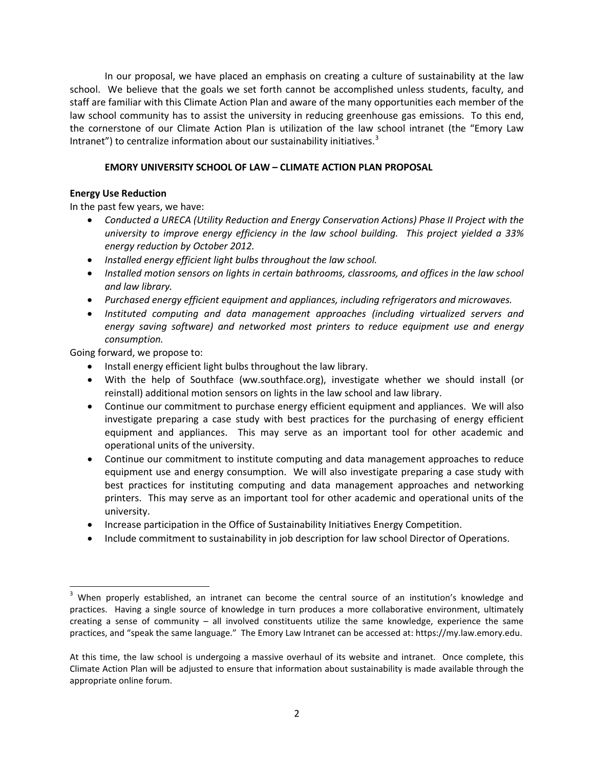In our proposal, we have placed an emphasis on creating a culture of sustainability at the law school. We believe that the goals we set forth cannot be accomplished unless students, faculty, and staff are familiar with this Climate Action Plan and aware of the many opportunities each member of the law school community has to assist the university in reducing greenhouse gas emissions. To this end, the cornerstone of our Climate Action Plan is utilization of the law school intranet (the "Emory Law Intranet") to centralize information about our sustainability initiatives. $3$ 

## **EMORY UNIVERSITY SCHOOL OF LAW – CLIMATE ACTION PLAN PROPOSAL**

# **Energy Use Reduction**

In the past few years, we have:

- *Conducted a URECA (Utility Reduction and Energy Conservation Actions) Phase II Project with the university to improve energy efficiency in the law school building. This project yielded a 33% energy reduction by October 2012.*
- *Installed energy efficient light bulbs throughout the law school.*
- *Installed motion sensors on lights in certain bathrooms, classrooms, and offices in the law school and law library.*
- *Purchased energy efficient equipment and appliances, including refrigerators and microwaves.*
- *Instituted computing and data management approaches (including virtualized servers and energy saving software) and networked most printers to reduce equipment use and energy consumption.*

Going forward, we propose to:

 $\overline{\phantom{a}}$ 

- Install energy efficient light bulbs throughout the law library.
- With the help of Southface (ww.southface.org), investigate whether we should install (or reinstall) additional motion sensors on lights in the law school and law library.
- Continue our commitment to purchase energy efficient equipment and appliances. We will also investigate preparing a case study with best practices for the purchasing of energy efficient equipment and appliances. This may serve as an important tool for other academic and operational units of the university.
- Continue our commitment to institute computing and data management approaches to reduce equipment use and energy consumption. We will also investigate preparing a case study with best practices for instituting computing and data management approaches and networking printers. This may serve as an important tool for other academic and operational units of the university.
- Increase participation in the Office of Sustainability Initiatives Energy Competition.
- Include commitment to sustainability in job description for law school Director of Operations.

<span id="page-1-0"></span><sup>&</sup>lt;sup>3</sup> When properly established, an intranet can become the central source of an institution's knowledge and practices. Having a single source of knowledge in turn produces a more collaborative environment, ultimately creating a sense of community – all involved constituents utilize the same knowledge, experience the same practices, and "speak the same language." The Emory Law Intranet can be accessed at: https://my.law.emory.edu.

At this time, the law school is undergoing a massive overhaul of its website and intranet. Once complete, this Climate Action Plan will be adjusted to ensure that information about sustainability is made available through the appropriate online forum.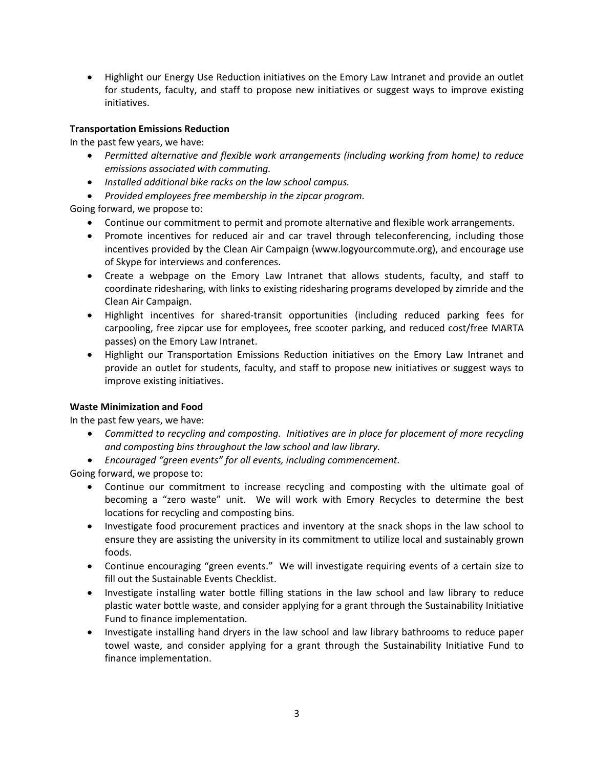• Highlight our Energy Use Reduction initiatives on the Emory Law Intranet and provide an outlet for students, faculty, and staff to propose new initiatives or suggest ways to improve existing initiatives.

## **Transportation Emissions Reduction**

In the past few years, we have:

- *Permitted alternative and flexible work arrangements (including working from home) to reduce emissions associated with commuting.*
- *Installed additional bike racks on the law school campus.*
- *Provided employees free membership in the zipcar program.*

Going forward, we propose to:

- Continue our commitment to permit and promote alternative and flexible work arrangements.
- Promote incentives for reduced air and car travel through teleconferencing, including those incentives provided by the Clean Air Campaign (www.logyourcommute.org), and encourage use of Skype for interviews and conferences.
- Create a webpage on the Emory Law Intranet that allows students, faculty, and staff to coordinate ridesharing, with links to existing ridesharing programs developed by zimride and the Clean Air Campaign.
- Highlight incentives for shared-transit opportunities (including reduced parking fees for carpooling, free zipcar use for employees, free scooter parking, and reduced cost/free MARTA passes) on the Emory Law Intranet.
- Highlight our Transportation Emissions Reduction initiatives on the Emory Law Intranet and provide an outlet for students, faculty, and staff to propose new initiatives or suggest ways to improve existing initiatives.

## **Waste Minimization and Food**

In the past few years, we have:

- *Committed to recycling and composting. Initiatives are in place for placement of more recycling and composting bins throughout the law school and law library.*
- *Encouraged "green events" for all events, including commencement.*

Going forward, we propose to:

- Continue our commitment to increase recycling and composting with the ultimate goal of becoming a "zero waste" unit. We will work with Emory Recycles to determine the best locations for recycling and composting bins.
- Investigate food procurement practices and inventory at the snack shops in the law school to ensure they are assisting the university in its commitment to utilize local and sustainably grown foods.
- Continue encouraging "green events." We will investigate requiring events of a certain size to fill out the Sustainable Events Checklist.
- Investigate installing water bottle filling stations in the law school and law library to reduce plastic water bottle waste, and consider applying for a grant through the Sustainability Initiative Fund to finance implementation.
- Investigate installing hand dryers in the law school and law library bathrooms to reduce paper towel waste, and consider applying for a grant through the Sustainability Initiative Fund to finance implementation.